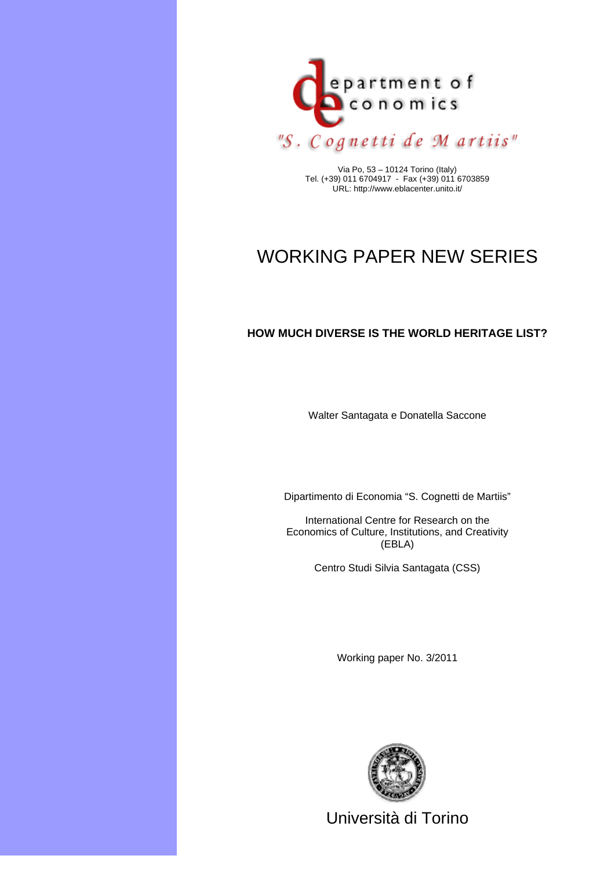

Via Po, 53 – 10124 Torino (Italy) Tel. (+39) 011 6704917 - Fax (+39) 011 6703859 URL: http://www.eblacenter.unito.it/

# WORKING PAPER NEW SERIES

# **HOW MUCH DIVERSE IS THE WORLD HERITAGE LIST?**

Walter Santagata e Donatella Saccone

Dipartimento di Economia "S. Cognetti de Martiis"

International Centre for Research on the Economics of Culture, Institutions, and Creativity (EBLA)

Centro Studi Silvia Santagata (CSS)

Working paper No. 3/2011



Università di Torino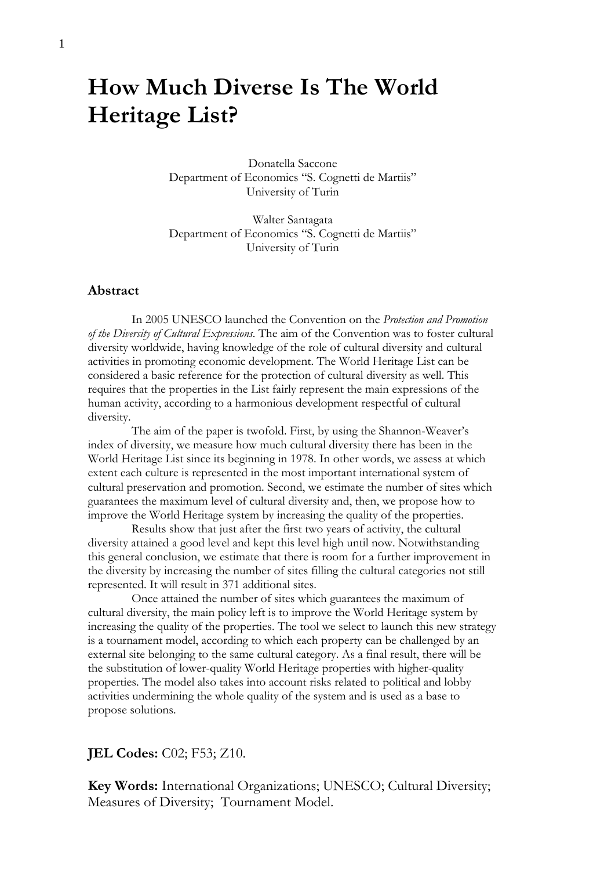# **How Much Diverse Is The World Heritage List?**

Donatella Saccone Department of Economics "S. Cognetti de Martiis" University of Turin

Walter Santagata Department of Economics "S. Cognetti de Martiis" University of Turin

#### **Abstract**

 In 2005 UNESCO launched the Convention on the *Protection and Promotion of the Diversity of Cultural Expressions*. The aim of the Convention was to foster cultural diversity worldwide, having knowledge of the role of cultural diversity and cultural activities in promoting economic development. The World Heritage List can be considered a basic reference for the protection of cultural diversity as well. This requires that the properties in the List fairly represent the main expressions of the human activity, according to a harmonious development respectful of cultural diversity.

 The aim of the paper is twofold. First, by using the Shannon-Weaver's index of diversity, we measure how much cultural diversity there has been in the World Heritage List since its beginning in 1978. In other words, we assess at which extent each culture is represented in the most important international system of cultural preservation and promotion. Second, we estimate the number of sites which guarantees the maximum level of cultural diversity and, then, we propose how to improve the World Heritage system by increasing the quality of the properties.

 Results show that just after the first two years of activity, the cultural diversity attained a good level and kept this level high until now. Notwithstanding this general conclusion, we estimate that there is room for a further improvement in the diversity by increasing the number of sites filling the cultural categories not still represented. It will result in 371 additional sites.

 Once attained the number of sites which guarantees the maximum of cultural diversity, the main policy left is to improve the World Heritage system by increasing the quality of the properties. The tool we select to launch this new strategy is a tournament model, according to which each property can be challenged by an external site belonging to the same cultural category. As a final result, there will be the substitution of lower-quality World Heritage properties with higher-quality properties. The model also takes into account risks related to political and lobby activities undermining the whole quality of the system and is used as a base to propose solutions.

### **JEL Codes:** C02; F53; Z10.

**Key Words:** International Organizations; UNESCO; Cultural Diversity; Measures of Diversity; Tournament Model.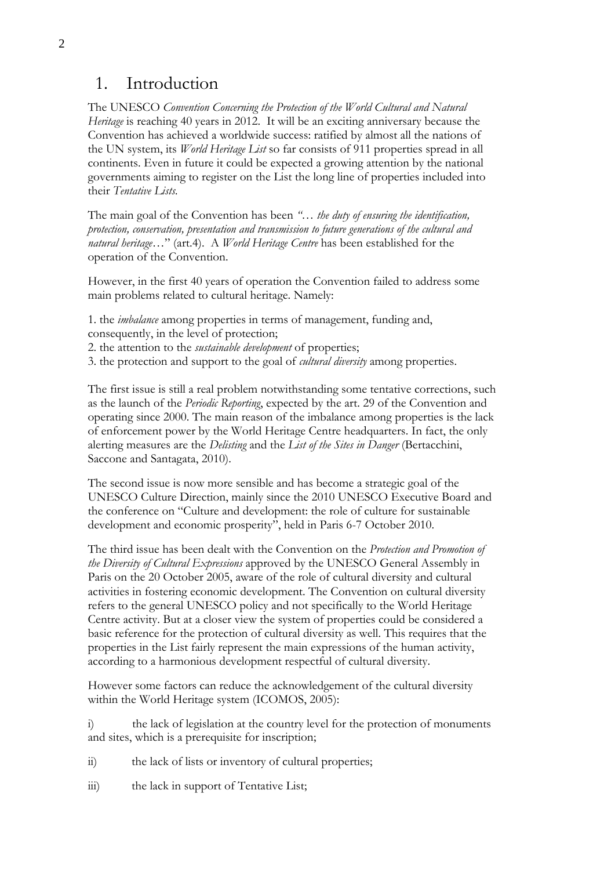# 1. Introduction

The UNESCO *Convention Concerning the Protection of the World Cultural and Natural Heritage* is reaching 40 years in 2012. It will be an exciting anniversary because the Convention has achieved a worldwide success: ratified by almost all the nations of the UN system, its *World Heritage List* so far consists of 911 properties spread in all continents. Even in future it could be expected a growing attention by the national governments aiming to register on the List the long line of properties included into their *Tentative Lists.* 

The main goal of the Convention has been *"… the duty of ensuring the identification, protection, conservation, presentation and transmission to future generations of the cultural and natural heritage…*" (art.4). A *World Heritage Centre* has been established for the operation of the Convention.

However, in the first 40 years of operation the Convention failed to address some main problems related to cultural heritage. Namely:

1. the *imbalance* among properties in terms of management, funding and, consequently, in the level of protection;

2. the attention to the *sustainable development* of properties;

3. the protection and support to the goal of *cultural diversity* among properties.

The first issue is still a real problem notwithstanding some tentative corrections, such as the launch of the *Periodic Reporting*, expected by the art. 29 of the Convention and operating since 2000. The main reason of the imbalance among properties is the lack of enforcement power by the World Heritage Centre headquarters. In fact, the only alerting measures are the *Delisting* and the *List of the Sites in Danger* (Bertacchini, Saccone and Santagata, 2010).

The second issue is now more sensible and has become a strategic goal of the UNESCO Culture Direction, mainly since the 2010 UNESCO Executive Board and the conference on "Culture and development: the role of culture for sustainable development and economic prosperity", held in Paris 6-7 October 2010.

The third issue has been dealt with the Convention on the *Protection and Promotion of the Diversity of Cultural Expressions* approved by the UNESCO General Assembly in Paris on the 20 October 2005, aware of the role of cultural diversity and cultural activities in fostering economic development. The Convention on cultural diversity refers to the general UNESCO policy and not specifically to the World Heritage Centre activity. But at a closer view the system of properties could be considered a basic reference for the protection of cultural diversity as well. This requires that the properties in the List fairly represent the main expressions of the human activity, according to a harmonious development respectful of cultural diversity.

However some factors can reduce the acknowledgement of the cultural diversity within the World Heritage system (ICOMOS, 2005):

i) the lack of legislation at the country level for the protection of monuments and sites, which is a prerequisite for inscription;

ii) the lack of lists or inventory of cultural properties;

iii) the lack in support of Tentative List;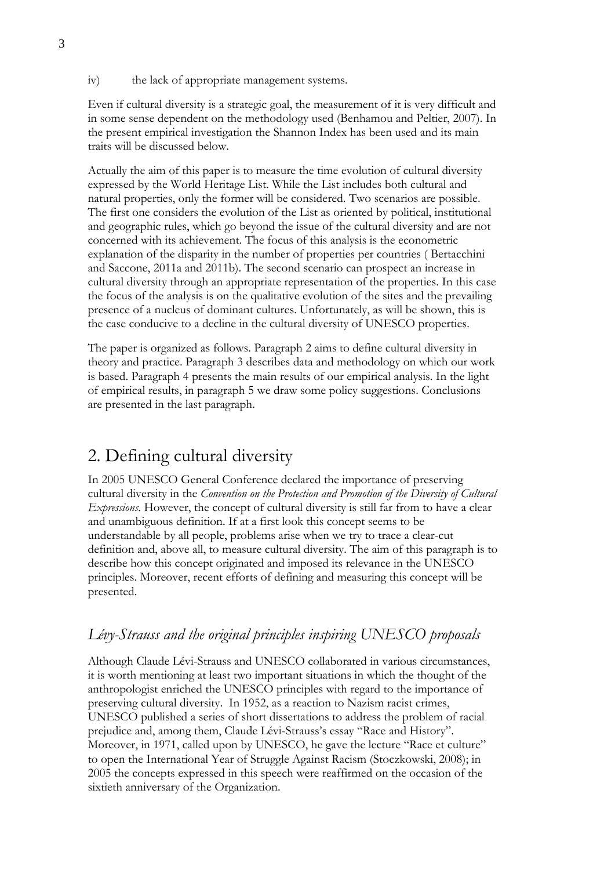iv) the lack of appropriate management systems.

Even if cultural diversity is a strategic goal, the measurement of it is very difficult and in some sense dependent on the methodology used (Benhamou and Peltier, 2007). In the present empirical investigation the Shannon Index has been used and its main traits will be discussed below.

Actually the aim of this paper is to measure the time evolution of cultural diversity expressed by the World Heritage List. While the List includes both cultural and natural properties, only the former will be considered. Two scenarios are possible. The first one considers the evolution of the List as oriented by political, institutional and geographic rules, which go beyond the issue of the cultural diversity and are not concerned with its achievement. The focus of this analysis is the econometric explanation of the disparity in the number of properties per countries ( Bertacchini and Saccone, 2011a and 2011b). The second scenario can prospect an increase in cultural diversity through an appropriate representation of the properties. In this case the focus of the analysis is on the qualitative evolution of the sites and the prevailing presence of a nucleus of dominant cultures. Unfortunately, as will be shown, this is the case conducive to a decline in the cultural diversity of UNESCO properties.

The paper is organized as follows. Paragraph 2 aims to define cultural diversity in theory and practice. Paragraph 3 describes data and methodology on which our work is based. Paragraph 4 presents the main results of our empirical analysis. In the light of empirical results, in paragraph 5 we draw some policy suggestions. Conclusions are presented in the last paragraph.

# 2. Defining cultural diversity

In 2005 UNESCO General Conference declared the importance of preserving cultural diversity in the *Convention on the Protection and Promotion of the Diversity of Cultural Expressions*. However, the concept of cultural diversity is still far from to have a clear and unambiguous definition. If at a first look this concept seems to be understandable by all people, problems arise when we try to trace a clear-cut definition and, above all, to measure cultural diversity. The aim of this paragraph is to describe how this concept originated and imposed its relevance in the UNESCO principles. Moreover, recent efforts of defining and measuring this concept will be presented.

# *Lévy-Strauss and the original principles inspiring UNESCO proposals*

Although Claude Lévi-Strauss and UNESCO collaborated in various circumstances, it is worth mentioning at least two important situations in which the thought of the anthropologist enriched the UNESCO principles with regard to the importance of preserving cultural diversity. In 1952, as a reaction to Nazism racist crimes, UNESCO published a series of short dissertations to address the problem of racial prejudice and, among them, Claude Lévi-Strauss's essay "Race and History". Moreover, in 1971, called upon by UNESCO, he gave the lecture "Race et culture" to open the International Year of Struggle Against Racism (Stoczkowski, 2008); in 2005 the concepts expressed in this speech were reaffirmed on the occasion of the sixtieth anniversary of the Organization.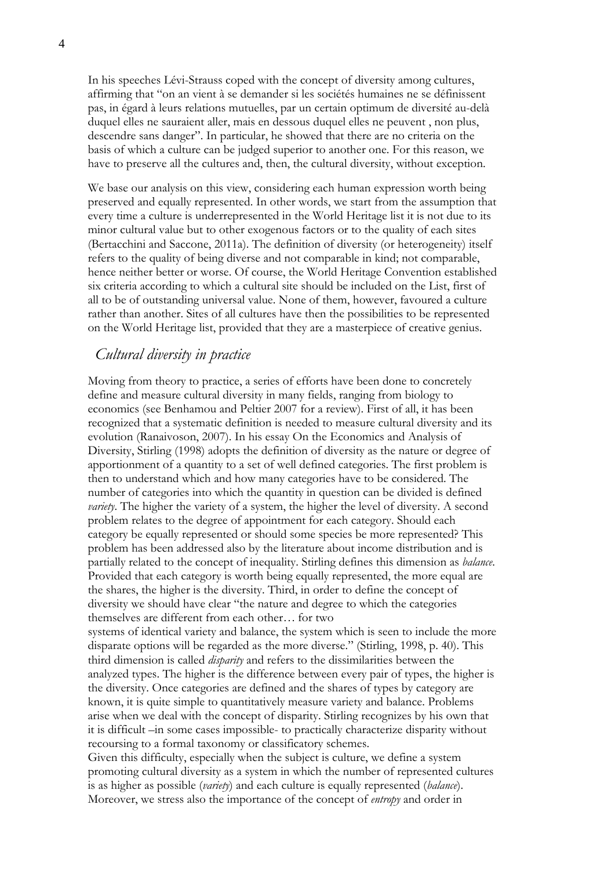In his speeches Lévi-Strauss coped with the concept of diversity among cultures, affirming that "on an vient à se demander si les sociétés humaines ne se définissent pas, in égard à leurs relations mutuelles, par un certain optimum de diversité au-delà duquel elles ne sauraient aller, mais en dessous duquel elles ne peuvent , non plus, descendre sans danger". In particular, he showed that there are no criteria on the basis of which a culture can be judged superior to another one. For this reason, we have to preserve all the cultures and, then, the cultural diversity, without exception.

We base our analysis on this view, considering each human expression worth being preserved and equally represented. In other words, we start from the assumption that every time a culture is underrepresented in the World Heritage list it is not due to its minor cultural value but to other exogenous factors or to the quality of each sites (Bertacchini and Saccone, 2011a). The definition of diversity (or heterogeneity) itself refers to the quality of being diverse and not comparable in kind; not comparable, hence neither better or worse. Of course, the World Heritage Convention established six criteria according to which a cultural site should be included on the List, first of all to be of outstanding universal value. None of them, however, favoured a culture rather than another. Sites of all cultures have then the possibilities to be represented on the World Heritage list, provided that they are a masterpiece of creative genius.

### *Cultural diversity in practice*

Moving from theory to practice, a series of efforts have been done to concretely define and measure cultural diversity in many fields, ranging from biology to economics (see Benhamou and Peltier 2007 for a review). First of all, it has been recognized that a systematic definition is needed to measure cultural diversity and its evolution (Ranaivoson, 2007). In his essay On the Economics and Analysis of Diversity, Stirling (1998) adopts the definition of diversity as the nature or degree of apportionment of a quantity to a set of well defined categories. The first problem is then to understand which and how many categories have to be considered. The number of categories into which the quantity in question can be divided is defined *variety*. The higher the variety of a system, the higher the level of diversity. A second problem relates to the degree of appointment for each category. Should each category be equally represented or should some species be more represented? This problem has been addressed also by the literature about income distribution and is partially related to the concept of inequality. Stirling defines this dimension as *balance*. Provided that each category is worth being equally represented, the more equal are the shares, the higher is the diversity. Third, in order to define the concept of diversity we should have clear "the nature and degree to which the categories themselves are different from each other… for two

systems of identical variety and balance, the system which is seen to include the more disparate options will be regarded as the more diverse." (Stirling, 1998, p. 40). This third dimension is called *disparity* and refers to the dissimilarities between the analyzed types. The higher is the difference between every pair of types, the higher is the diversity. Once categories are defined and the shares of types by category are known, it is quite simple to quantitatively measure variety and balance. Problems arise when we deal with the concept of disparity. Stirling recognizes by his own that it is difficult –in some cases impossible- to practically characterize disparity without recoursing to a formal taxonomy or classificatory schemes.

Given this difficulty, especially when the subject is culture, we define a system promoting cultural diversity as a system in which the number of represented cultures is as higher as possible (*variety*) and each culture is equally represented (*balance*). Moreover, we stress also the importance of the concept of *entropy* and order in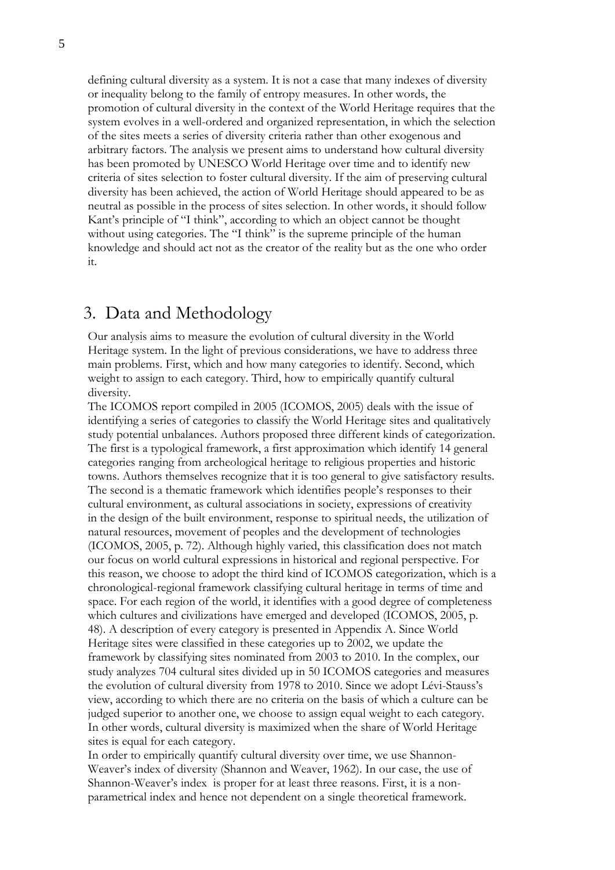defining cultural diversity as a system. It is not a case that many indexes of diversity or inequality belong to the family of entropy measures. In other words, the promotion of cultural diversity in the context of the World Heritage requires that the system evolves in a well-ordered and organized representation, in which the selection of the sites meets a series of diversity criteria rather than other exogenous and arbitrary factors. The analysis we present aims to understand how cultural diversity has been promoted by UNESCO World Heritage over time and to identify new criteria of sites selection to foster cultural diversity. If the aim of preserving cultural diversity has been achieved, the action of World Heritage should appeared to be as neutral as possible in the process of sites selection. In other words, it should follow Kant's principle of "I think", according to which an object cannot be thought without using categories. The "I think" is the supreme principle of the human knowledge and should act not as the creator of the reality but as the one who order it.

# 3. Data and Methodology

Our analysis aims to measure the evolution of cultural diversity in the World Heritage system. In the light of previous considerations, we have to address three main problems. First, which and how many categories to identify. Second, which weight to assign to each category. Third, how to empirically quantify cultural diversity.

The ICOMOS report compiled in 2005 (ICOMOS, 2005) deals with the issue of identifying a series of categories to classify the World Heritage sites and qualitatively study potential unbalances. Authors proposed three different kinds of categorization. The first is a typological framework, a first approximation which identify 14 general categories ranging from archeological heritage to religious properties and historic towns. Authors themselves recognize that it is too general to give satisfactory results. The second is a thematic framework which identifies people's responses to their cultural environment, as cultural associations in society, expressions of creativity in the design of the built environment, response to spiritual needs, the utilization of natural resources, movement of peoples and the development of technologies (ICOMOS, 2005, p. 72). Although highly varied, this classification does not match our focus on world cultural expressions in historical and regional perspective. For this reason, we choose to adopt the third kind of ICOMOS categorization, which is a chronological-regional framework classifying cultural heritage in terms of time and space. For each region of the world, it identifies with a good degree of completeness which cultures and civilizations have emerged and developed (ICOMOS, 2005, p. 48). A description of every category is presented in Appendix A. Since World Heritage sites were classified in these categories up to 2002, we update the framework by classifying sites nominated from 2003 to 2010. In the complex, our study analyzes 704 cultural sites divided up in 50 ICOMOS categories and measures the evolution of cultural diversity from 1978 to 2010. Since we adopt Lévi-Stauss's view, according to which there are no criteria on the basis of which a culture can be judged superior to another one, we choose to assign equal weight to each category. In other words, cultural diversity is maximized when the share of World Heritage sites is equal for each category.

In order to empirically quantify cultural diversity over time, we use Shannon-Weaver's index of diversity (Shannon and Weaver, 1962). In our case, the use of Shannon-Weaver's index is proper for at least three reasons. First, it is a nonparametrical index and hence not dependent on a single theoretical framework.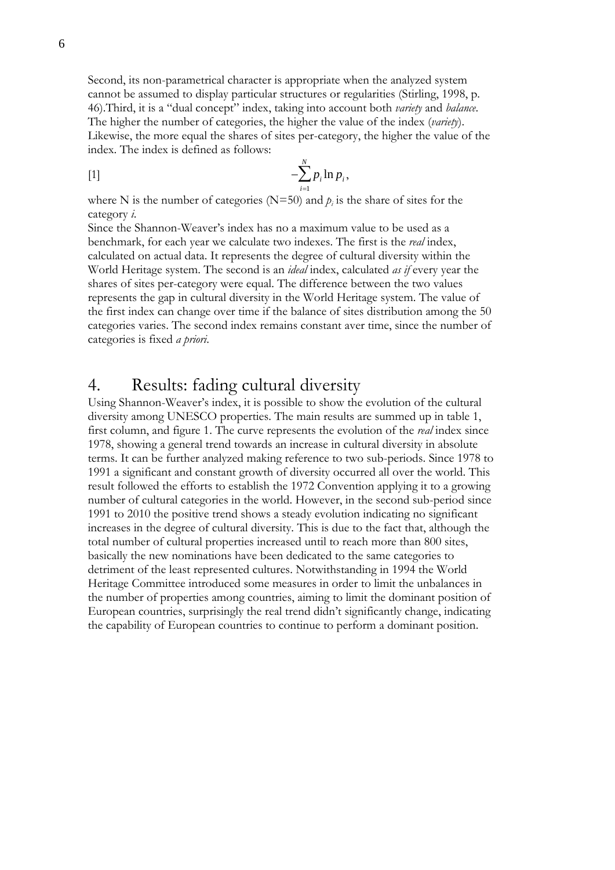Second, its non-parametrical character is appropriate when the analyzed system cannot be assumed to display particular structures or regularities (Stirling, 1998, p. 46).Third, it is a "dual concept" index, taking into account both *variety* and *balance*. The higher the number of categories, the higher the value of the index (*variety*). Likewise, the more equal the shares of sites per-category, the higher the value of the index. The index is defined as follows:

$$
[-\sum_{i=1}^N p_i \ln p_i,
$$

where N is the number of categories ( $N=50$ ) and  $p_i$  is the share of sites for the category *i*.

Since the Shannon-Weaver's index has no a maximum value to be used as a benchmark, for each year we calculate two indexes. The first is the *real* index, calculated on actual data. It represents the degree of cultural diversity within the World Heritage system. The second is an *ideal* index, calculated *as if* every year the shares of sites per-category were equal. The difference between the two values represents the gap in cultural diversity in the World Heritage system. The value of the first index can change over time if the balance of sites distribution among the 50 categories varies. The second index remains constant aver time, since the number of categories is fixed *a priori*.

# 4. Results: fading cultural diversity

Using Shannon-Weaver's index, it is possible to show the evolution of the cultural diversity among UNESCO properties. The main results are summed up in table 1, first column, and figure 1. The curve represents the evolution of the *real* index since 1978, showing a general trend towards an increase in cultural diversity in absolute terms. It can be further analyzed making reference to two sub-periods. Since 1978 to 1991 a significant and constant growth of diversity occurred all over the world. This result followed the efforts to establish the 1972 Convention applying it to a growing number of cultural categories in the world. However, in the second sub-period since 1991 to 2010 the positive trend shows a steady evolution indicating no significant increases in the degree of cultural diversity. This is due to the fact that, although the total number of cultural properties increased until to reach more than 800 sites, basically the new nominations have been dedicated to the same categories to detriment of the least represented cultures. Notwithstanding in 1994 the World Heritage Committee introduced some measures in order to limit the unbalances in the number of properties among countries, aiming to limit the dominant position of European countries, surprisingly the real trend didn't significantly change, indicating the capability of European countries to continue to perform a dominant position.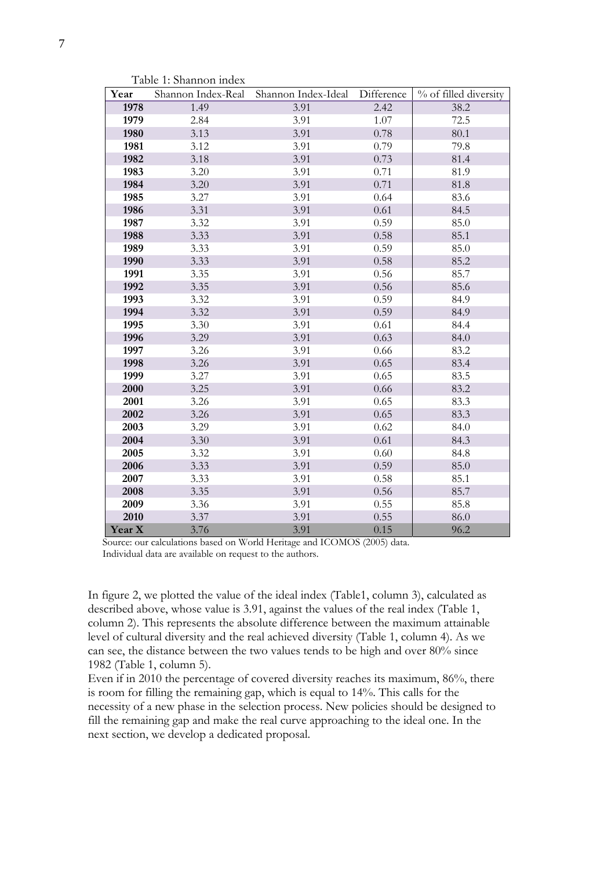| Year   | Shannon Index-Real | Shannon Index-Ideal | Difference | % of filled diversity |
|--------|--------------------|---------------------|------------|-----------------------|
| 1978   | 1.49               | 3.91                | 2.42       | 38.2                  |
| 1979   | 2.84               | 3.91                | 1.07       | 72.5                  |
| 1980   | 3.13               | 3.91                | 0.78       | 80.1                  |
| 1981   | 3.12               | 3.91                | 0.79       | 79.8                  |
| 1982   | 3.18               | 3.91                | 0.73       | 81.4                  |
| 1983   | 3.20               | 3.91                | 0.71       | 81.9                  |
| 1984   | 3.20               | 3.91                | 0.71       | 81.8                  |
| 1985   | 3.27               | 3.91                | 0.64       | 83.6                  |
| 1986   | 3.31               | 3.91                | 0.61       | 84.5                  |
| 1987   | 3.32               | 3.91                | 0.59       | 85.0                  |
| 1988   | 3.33               | 3.91                | 0.58       | 85.1                  |
| 1989   | 3.33               | 3.91                | 0.59       | 85.0                  |
| 1990   | 3.33               | 3.91                | $0.58\,$   | 85.2                  |
| 1991   | 3.35               | 3.91                | 0.56       | 85.7                  |
| 1992   | 3.35               | 3.91                | 0.56       | 85.6                  |
| 1993   | 3.32               | 3.91                | 0.59       | 84.9                  |
| 1994   | 3.32               | 3.91                | 0.59       | 84.9                  |
| 1995   | 3.30               | 3.91                | 0.61       | 84.4                  |
| 1996   | 3.29               | 3.91                | 0.63       | 84.0                  |
| 1997   | 3.26               | 3.91                | 0.66       | 83.2                  |
| 1998   | 3.26               | 3.91                | 0.65       | 83.4                  |
| 1999   | 3.27               | 3.91                | 0.65       | 83.5                  |
| 2000   | 3.25               | 3.91                | 0.66       | 83.2                  |
| 2001   | 3.26               | 3.91                | 0.65       | 83.3                  |
| 2002   | 3.26               | 3.91                | 0.65       | 83.3                  |
| 2003   | 3.29               | 3.91                | 0.62       | 84.0                  |
| 2004   | 3.30               | 3.91                | 0.61       | 84.3                  |
| 2005   | 3.32               | 3.91                | 0.60       | 84.8                  |
| 2006   | 3.33               | 3.91                | 0.59       | 85.0                  |
| 2007   | 3.33               | 3.91                | 0.58       | 85.1                  |
| 2008   | 3.35               | 3.91                | 0.56       | 85.7                  |
| 2009   | 3.36               | 3.91                | 0.55       | 85.8                  |
| 2010   | 3.37               | 3.91                | 0.55       | 86.0                  |
| Year X | 3.76               | 3.91                | 0.15       | 96.2                  |

Table 1: Shannon index

Source: our calculations based on World Heritage and ICOMOS (2005) data. Individual data are available on request to the authors.

In figure 2, we plotted the value of the ideal index (Table1, column 3), calculated as described above, whose value is 3.91, against the values of the real index (Table 1, column 2). This represents the absolute difference between the maximum attainable level of cultural diversity and the real achieved diversity (Table 1, column 4). As we can see, the distance between the two values tends to be high and over 80% since 1982 (Table 1, column 5).

Even if in 2010 the percentage of covered diversity reaches its maximum, 86%, there is room for filling the remaining gap, which is equal to 14%. This calls for the necessity of a new phase in the selection process. New policies should be designed to fill the remaining gap and make the real curve approaching to the ideal one. In the next section, we develop a dedicated proposal.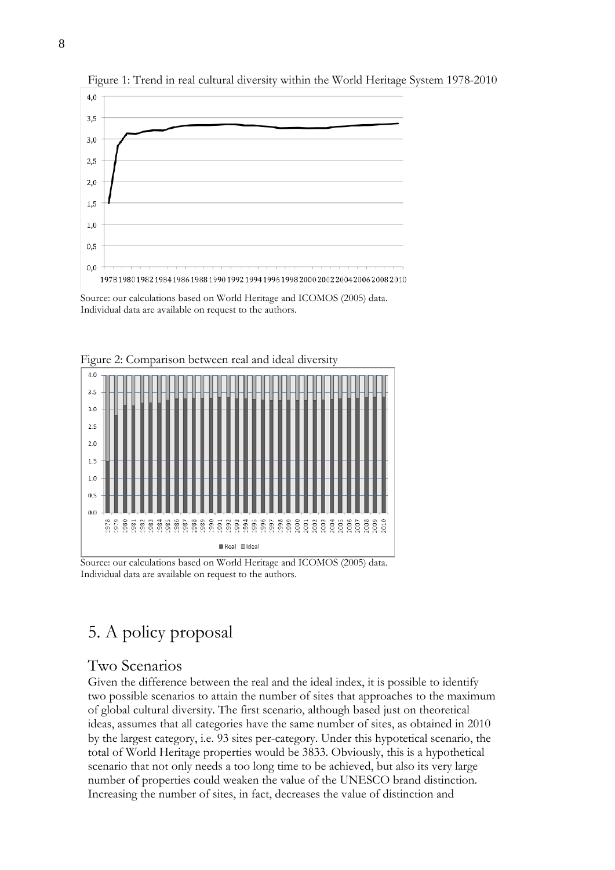

Figure 1: Trend in real cultural diversity within the World Heritage System 1978-2010

Source: our calculations based on World Heritage and ICOMOS (2005) data. Individual data are available on request to the authors.



Figure 2: Comparison between real and ideal diversity

Source: our calculations based on World Heritage and ICOMOS (2005) data. Individual data are available on request to the authors.

# 5. A policy proposal

# Two Scenarios

Given the difference between the real and the ideal index, it is possible to identify two possible scenarios to attain the number of sites that approaches to the maximum of global cultural diversity. The first scenario, although based just on theoretical ideas, assumes that all categories have the same number of sites, as obtained in 2010 by the largest category, i.e. 93 sites per-category. Under this hypotetical scenario, the total of World Heritage properties would be 3833. Obviously, this is a hypothetical scenario that not only needs a too long time to be achieved, but also its very large number of properties could weaken the value of the UNESCO brand distinction. Increasing the number of sites, in fact, decreases the value of distinction and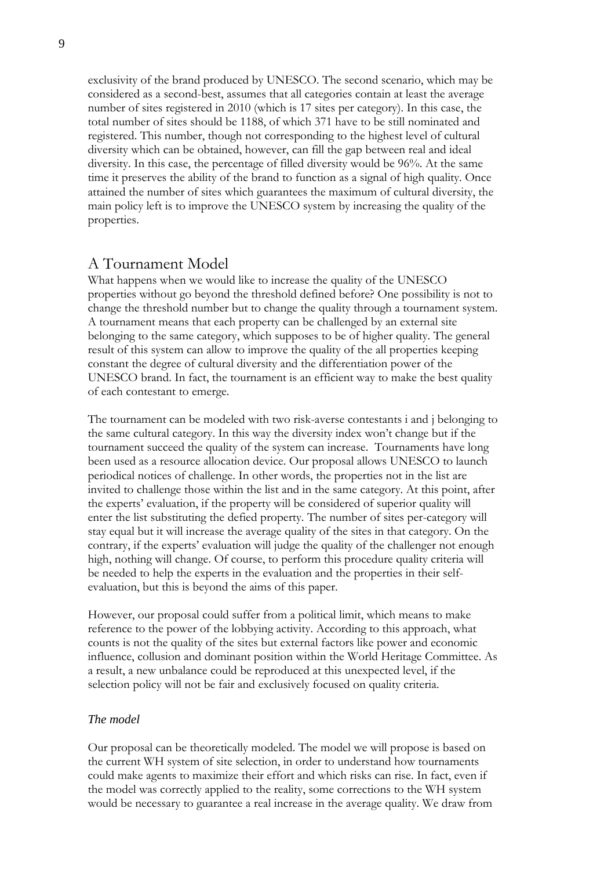exclusivity of the brand produced by UNESCO. The second scenario, which may be considered as a second-best, assumes that all categories contain at least the average number of sites registered in 2010 (which is 17 sites per category). In this case, the total number of sites should be 1188, of which 371 have to be still nominated and registered. This number, though not corresponding to the highest level of cultural diversity which can be obtained, however, can fill the gap between real and ideal diversity. In this case, the percentage of filled diversity would be 96%. At the same time it preserves the ability of the brand to function as a signal of high quality. Once attained the number of sites which guarantees the maximum of cultural diversity, the main policy left is to improve the UNESCO system by increasing the quality of the properties.

### A Tournament Model

What happens when we would like to increase the quality of the UNESCO properties without go beyond the threshold defined before? One possibility is not to change the threshold number but to change the quality through a tournament system. A tournament means that each property can be challenged by an external site belonging to the same category, which supposes to be of higher quality. The general result of this system can allow to improve the quality of the all properties keeping constant the degree of cultural diversity and the differentiation power of the UNESCO brand. In fact, the tournament is an efficient way to make the best quality of each contestant to emerge.

The tournament can be modeled with two risk-averse contestants i and j belonging to the same cultural category. In this way the diversity index won't change but if the tournament succeed the quality of the system can increase. Tournaments have long been used as a resource allocation device. Our proposal allows UNESCO to launch periodical notices of challenge. In other words, the properties not in the list are invited to challenge those within the list and in the same category. At this point, after the experts' evaluation, if the property will be considered of superior quality will enter the list substituting the defied property. The number of sites per-category will stay equal but it will increase the average quality of the sites in that category. On the contrary, if the experts' evaluation will judge the quality of the challenger not enough high, nothing will change. Of course, to perform this procedure quality criteria will be needed to help the experts in the evaluation and the properties in their selfevaluation, but this is beyond the aims of this paper.

However, our proposal could suffer from a political limit, which means to make reference to the power of the lobbying activity. According to this approach, what counts is not the quality of the sites but external factors like power and economic influence, collusion and dominant position within the World Heritage Committee. As a result, a new unbalance could be reproduced at this unexpected level, if the selection policy will not be fair and exclusively focused on quality criteria.

#### *The model*

Our proposal can be theoretically modeled. The model we will propose is based on the current WH system of site selection, in order to understand how tournaments could make agents to maximize their effort and which risks can rise. In fact, even if the model was correctly applied to the reality, some corrections to the WH system would be necessary to guarantee a real increase in the average quality. We draw from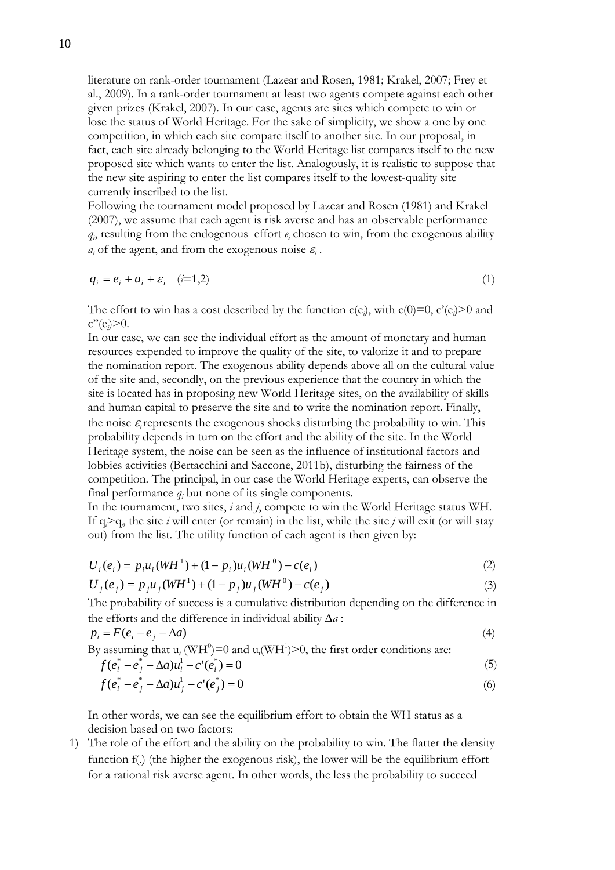literature on rank-order tournament (Lazear and Rosen, 1981; Krakel, 2007; Frey et al., 2009). In a rank-order tournament at least two agents compete against each other given prizes (Krakel, 2007). In our case, agents are sites which compete to win or lose the status of World Heritage. For the sake of simplicity, we show a one by one competition, in which each site compare itself to another site. In our proposal, in fact, each site already belonging to the World Heritage list compares itself to the new proposed site which wants to enter the list. Analogously, it is realistic to suppose that the new site aspiring to enter the list compares itself to the lowest-quality site currently inscribed to the list.

Following the tournament model proposed by Lazear and Rosen (1981) and Krakel (2007), we assume that each agent is risk averse and has an observable performance  $q_i$  resulting from the endogenous effort  $e_i$  chosen to win, from the exogenous ability  $a_i$  of the agent, and from the exogenous noise  $\varepsilon_i$ .

$$
q_i = e_i + a_i + \varepsilon_i \quad (i=1,2)
$$
\n<sup>(1)</sup>

The effort to win has a cost described by the function  $c(e_i)$ , with  $c(0)=0$ ,  $c'(e_i)>0$  and c''(e*<sup>i</sup>* )>0.

In our case, we can see the individual effort as the amount of monetary and human resources expended to improve the quality of the site, to valorize it and to prepare the nomination report. The exogenous ability depends above all on the cultural value of the site and, secondly, on the previous experience that the country in which the site is located has in proposing new World Heritage sites, on the availability of skills and human capital to preserve the site and to write the nomination report. Finally, the noise  $\varepsilon$  represents the exogenous shocks disturbing the probability to win. This probability depends in turn on the effort and the ability of the site. In the World Heritage system, the noise can be seen as the influence of institutional factors and lobbies activities (Bertacchini and Saccone, 2011b), disturbing the fairness of the competition. The principal, in our case the World Heritage experts, can observe the final performance  $q_i$  but none of its single components.

In the tournament, two sites, *i* and *j*, compete to win the World Heritage status WH. If  $q_i > q_j$ , the site *i* will enter (or remain) in the list, while the site *j* will exit (or will stay out) from the list. The utility function of each agent is then given by:

$$
U_i(e_i) = p_i u_i (WH^1) + (1 - p_i) u_i (WH^0) - c(e_i)
$$
\n(2)

$$
U_j(e_j) = p_j u_j (W H^1) + (1 - p_j) u_j (W H^0) - c(e_j)
$$
\n(3)

The probability of success is a cumulative distribution depending on the difference in the efforts and the difference in individual ability Δ*a* :

$$
p_i = F(e_i - e_j - \Delta a) \tag{4}
$$

By assuming that 
$$
u_i
$$
 (WH<sup>0</sup>)=0 and  $u_i$ (WH<sup>1</sup>)> > 0, the first order conditions are:  
\n
$$
f(e_i^* - e_j^* - \Delta a)u_i^1 - c'(e_i^*) = 0
$$
\n(5)

$$
f(e_i^* - e_j^* - \Delta a)u_j^1 - c'(e_j^*) = 0
$$
\n(6)

In other words, we can see the equilibrium effort to obtain the WH status as a decision based on two factors:

1) The role of the effort and the ability on the probability to win. The flatter the density function f(.) (the higher the exogenous risk), the lower will be the equilibrium effort for a rational risk averse agent. In other words, the less the probability to succeed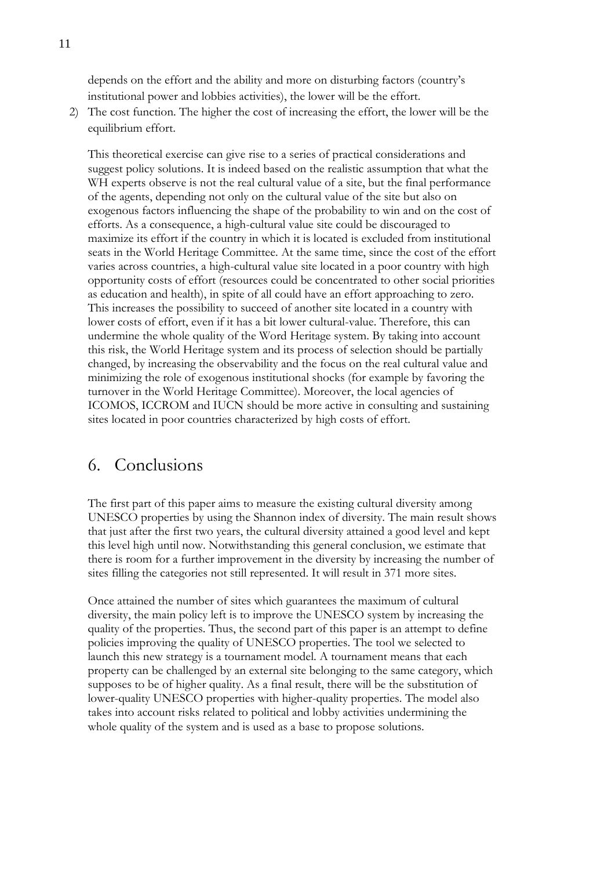depends on the effort and the ability and more on disturbing factors (country's institutional power and lobbies activities), the lower will be the effort.

2) The cost function. The higher the cost of increasing the effort, the lower will be the equilibrium effort.

This theoretical exercise can give rise to a series of practical considerations and suggest policy solutions. It is indeed based on the realistic assumption that what the WH experts observe is not the real cultural value of a site, but the final performance of the agents, depending not only on the cultural value of the site but also on exogenous factors influencing the shape of the probability to win and on the cost of efforts. As a consequence, a high-cultural value site could be discouraged to maximize its effort if the country in which it is located is excluded from institutional seats in the World Heritage Committee. At the same time, since the cost of the effort varies across countries, a high-cultural value site located in a poor country with high opportunity costs of effort (resources could be concentrated to other social priorities as education and health), in spite of all could have an effort approaching to zero. This increases the possibility to succeed of another site located in a country with lower costs of effort, even if it has a bit lower cultural-value. Therefore, this can undermine the whole quality of the Word Heritage system. By taking into account this risk, the World Heritage system and its process of selection should be partially changed, by increasing the observability and the focus on the real cultural value and minimizing the role of exogenous institutional shocks (for example by favoring the turnover in the World Heritage Committee). Moreover, the local agencies of ICOMOS, ICCROM and IUCN should be more active in consulting and sustaining sites located in poor countries characterized by high costs of effort.

# 6. Conclusions

The first part of this paper aims to measure the existing cultural diversity among UNESCO properties by using the Shannon index of diversity. The main result shows that just after the first two years, the cultural diversity attained a good level and kept this level high until now. Notwithstanding this general conclusion, we estimate that there is room for a further improvement in the diversity by increasing the number of sites filling the categories not still represented. It will result in 371 more sites.

Once attained the number of sites which guarantees the maximum of cultural diversity, the main policy left is to improve the UNESCO system by increasing the quality of the properties. Thus, the second part of this paper is an attempt to define policies improving the quality of UNESCO properties. The tool we selected to launch this new strategy is a tournament model. A tournament means that each property can be challenged by an external site belonging to the same category, which supposes to be of higher quality. As a final result, there will be the substitution of lower-quality UNESCO properties with higher-quality properties. The model also takes into account risks related to political and lobby activities undermining the whole quality of the system and is used as a base to propose solutions.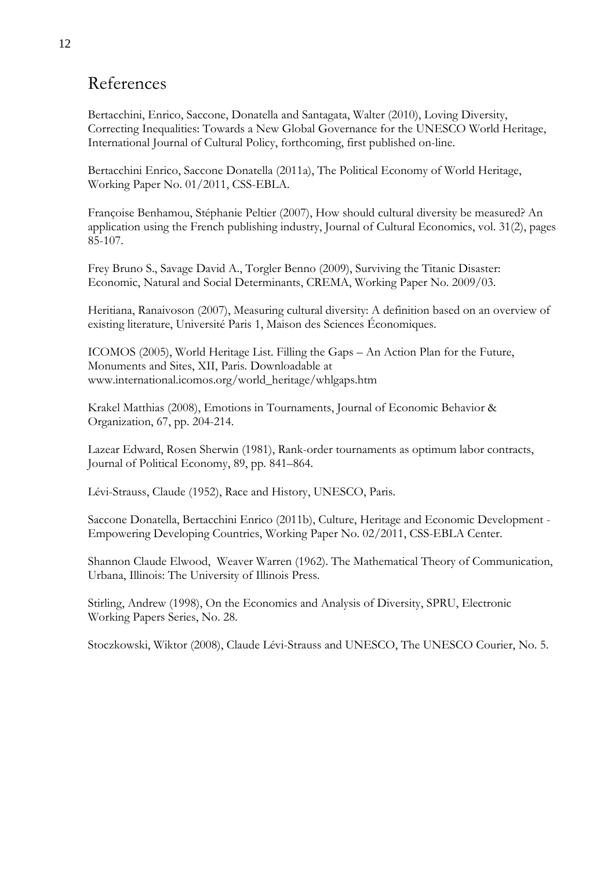# References

Bertacchini, Enrico, Saccone, Donatella and Santagata, Walter (2010), Loving Diversity, Correcting Inequalities: Towards a New Global Governance for the UNESCO World Heritage, International Journal of Cultural Policy, forthcoming, first published on-line.

Bertacchini Enrico, Saccone Donatella (2011a), The Political Economy of World Heritage, Working Paper No. 01/2011, CSS-EBLA.

Françoise Benhamou, Stéphanie Peltier (2007), How should cultural diversity be measured? An application using the French publishing industry, Journal of Cultural Economics, vol. 31(2), pages 85-107.

Frey Bruno S., Savage David A., Torgler Benno (2009), Surviving the Titanic Disaster: Economic, Natural and Social Determinants, CREMA, Working Paper No. 2009/03.

Heritiana, Ranaivoson (2007), Measuring cultural diversity: A definition based on an overview of existing literature, Université Paris 1, Maison des Sciences Économiques.

ICOMOS (2005), World Heritage List. Filling the Gaps – An Action Plan for the Future, Monuments and Sites, XII, Paris. Downloadable at www.international.icomos.org/world\_heritage/whlgaps.htm

Krakel Matthias (2008), Emotions in Tournaments, Journal of Economic Behavior & Organization, 67, pp. 204-214.

Lazear Edward, Rosen Sherwin (1981), Rank-order tournaments as optimum labor contracts, Journal of Political Economy, 89, pp. 841–864.

Lévi-Strauss, Claude (1952), Race and History, UNESCO, Paris.

Saccone Donatella, Bertacchini Enrico (2011b), Culture, Heritage and Economic Development - Empowering Developing Countries, Working Paper No. 02/2011, CSS-EBLA Center.

Shannon Claude Elwood, Weaver Warren (1962). The Mathematical Theory of Communication, Urbana, Illinois: The University of Illinois Press.

Stirling, Andrew (1998), On the Economics and Analysis of Diversity, SPRU, Electronic Working Papers Series, No. 28.

Stoczkowski, Wiktor (2008), Claude Lévi-Strauss and UNESCO, The UNESCO Courier, No. 5.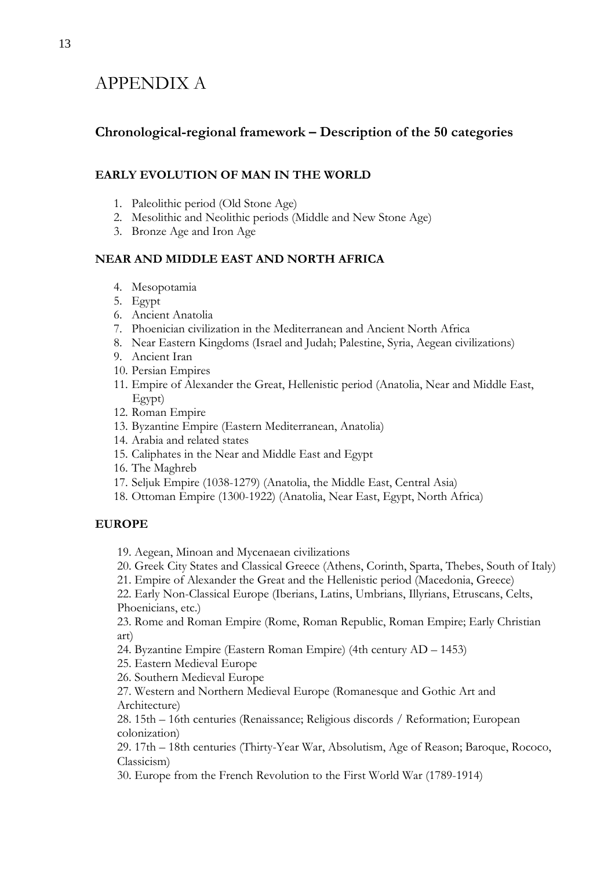# APPENDIX A

# **Chronological-regional framework – Description of the 50 categories**

## **EARLY EVOLUTION OF MAN IN THE WORLD**

- 1. Paleolithic period (Old Stone Age)
- 2. Mesolithic and Neolithic periods (Middle and New Stone Age)
- 3. Bronze Age and Iron Age

### **NEAR AND MIDDLE EAST AND NORTH AFRICA**

- 4. Mesopotamia
- 5. Egypt
- 6. Ancient Anatolia
- 7. Phoenician civilization in the Mediterranean and Ancient North Africa
- 8. Near Eastern Kingdoms (Israel and Judah; Palestine, Syria, Aegean civilizations)
- 9. Ancient Iran
- 10. Persian Empires
- 11. Empire of Alexander the Great, Hellenistic period (Anatolia, Near and Middle East, Egypt)
- 12. Roman Empire
- 13. Byzantine Empire (Eastern Mediterranean, Anatolia)
- 14. Arabia and related states
- 15. Caliphates in the Near and Middle East and Egypt
- 16. The Maghreb
- 17. Seljuk Empire (1038-1279) (Anatolia, the Middle East, Central Asia)
- 18. Ottoman Empire (1300-1922) (Anatolia, Near East, Egypt, North Africa)

## **EUROPE**

- 19. Aegean, Minoan and Mycenaean civilizations
- 20. Greek City States and Classical Greece (Athens, Corinth, Sparta, Thebes, South of Italy)
- 21. Empire of Alexander the Great and the Hellenistic period (Macedonia, Greece)

22. Early Non-Classical Europe (Iberians, Latins, Umbrians, Illyrians, Etruscans, Celts, Phoenicians, etc.)

23. Rome and Roman Empire (Rome, Roman Republic, Roman Empire; Early Christian art)

- 24. Byzantine Empire (Eastern Roman Empire) (4th century AD 1453)
- 25. Eastern Medieval Europe
- 26. Southern Medieval Europe

27. Western and Northern Medieval Europe (Romanesque and Gothic Art and Architecture)

28. 15th – 16th centuries (Renaissance; Religious discords / Reformation; European colonization)

29. 17th – 18th centuries (Thirty-Year War, Absolutism, Age of Reason; Baroque, Rococo, Classicism)

30. Europe from the French Revolution to the First World War (1789-1914)